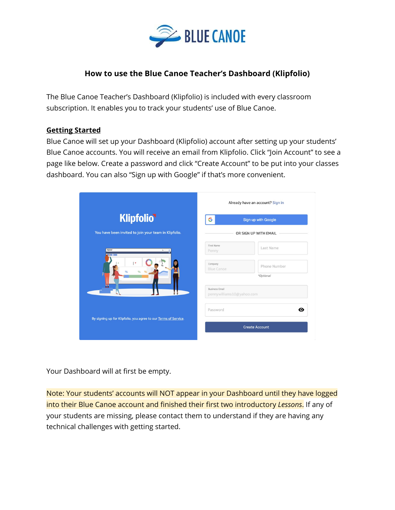

# **How to use the Blue Canoe Teacher's Dashboard (Klipfolio)**

The Blue Canoe Teacher's Dashboard (Klipfolio) is included with every classroom subscription. It enables you to track your students' use of Blue Canoe.

#### **Getting Started**

Blue Canoe will set up your Dashboard (Klipfolio) account after setting up your students' Blue Canoe accounts. You will receive an email from Klipfolio. Click "Join Account" to see a page like below. Create a password and click "Create Account" to be put into your classes dashboard. You can also "Sign up with Google" if that's more convenient.

|                                                                 | Already have an account? Sign in                          |  |  |  |  |
|-----------------------------------------------------------------|-----------------------------------------------------------|--|--|--|--|
| <b>Klipfolio</b>                                                | G<br>Sign up with Google                                  |  |  |  |  |
| You have been invited to join your team in Klipfolio.           | OR SIGN UP WITH EMAIL                                     |  |  |  |  |
| Klipfelid<br>$N \times N$                                       | First Name<br>Last Name<br>Penny                          |  |  |  |  |
|                                                                 | Company<br>Phone Number<br><b>Blue Canoe</b><br>*Optional |  |  |  |  |
|                                                                 | <b>Business Email</b><br>pennywilliams10@yahoo.com        |  |  |  |  |
| By signing up for Klipfolio, you agree to our Terms of Service. | ⊙<br>Password                                             |  |  |  |  |
|                                                                 | <b>Create Account</b>                                     |  |  |  |  |

Your Dashboard will at first be empty.

Note: Your students' accounts will NOT appear in your Dashboard until they have logged into their Blue Canoe account and finished their first two introductory *Lessons*. If any of your students are missing, please contact them to understand if they are having any technical challenges with getting started.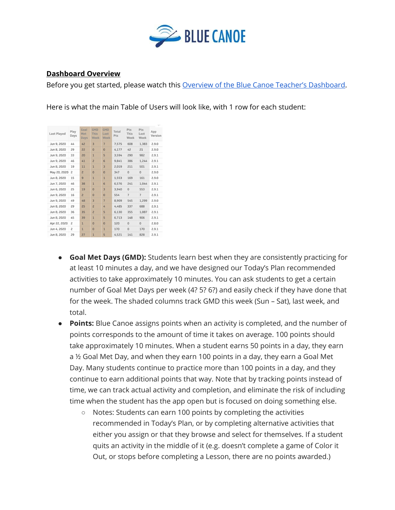

#### **Dashboard Overview**

Before you get started, please watch this Overview of the Blue Canoe Teacher's [Dashboard.](https://youtu.be/Ir_qZs9LEY0)

Here is what the main Table of Users will look like, with 1 row for each student:

| <b>Last Played</b> | Play<br>Days | Goal<br>Met<br>Days | <b>GMD</b><br><b>This</b><br>Week | <b>GMD</b><br>Last<br><b>Week</b> | Total<br>Pts | Pts<br>This<br>Week | Pts<br>Last<br>Week | App<br>Version |
|--------------------|--------------|---------------------|-----------------------------------|-----------------------------------|--------------|---------------------|---------------------|----------------|
| Jun 9, 2020        | 44           | 42                  | $\overline{3}$                    | $\overline{7}$                    | 7.575        | 608                 | 1,383               | 2.9.0          |
| Jun 8, 2020        | 29           | 22                  | $\overline{0}$                    | $\Omega$                          | 4,177        | 42                  | 21                  | 2.9.0          |
| Jun 9, 2020        | 33           | 20                  | $\mathbf{1}$                      | 5                                 | 3.594        | 290                 | 982                 | 2.9.1          |
| Jun 9, 2020        | 46           | 41                  | $\overline{c}$                    | 6                                 | 9.841        | 386                 | 1.244               | 2.9.1          |
| Jun 8, 2020        | 19           | 11                  | $\mathbf{1}$                      | $\overline{3}$                    | 2.019        | 211                 | 501                 | 2.9.1          |
| May 20, 2020       | 2            | $\overline{c}$      | $\Omega$                          | $\Omega$                          | 347          | $\mathbf{0}$        | $\mathbf{0}$        | 2.9.0          |
| Jun 8, 2020        | 15           | $\overline{9}$      | $\mathbf{1}$                      | $\overline{1}$                    | 1,553        | 169                 | 161                 | 2.9.0          |
| Jun 7, 2020        | 46           | 38                  | $\mathbf{1}$                      | 6                                 | 6.576        | 241                 | 1.044               | 2.9.1          |
| Jun 6, 2020        | 25           | 19                  | $\mathbf{0}$                      | $\overline{3}$                    | 3.940        | $\mathbf{0}$        | 553                 | 2.9.1          |
| Jun 9, 2020        | 16           | $\overline{2}$      | $\Omega$                          | $\Omega$                          | 554          | $\overline{7}$      | $\overline{7}$      | 2.9.1          |
| Jun 9, 2020        | 49           | 48                  | $\overline{3}$                    | $\overline{7}$                    | 8.909        | 545                 | 1.299               | 2.9.0          |
| Jun 8, 2020        | 29           | 25                  | $\overline{c}$                    | 4                                 | 4,485        | 337                 | 688                 | 2.9.1          |
| Jun 8, 2020        | 36           | 35                  | $\overline{c}$                    | 5                                 | 6.130        | 355                 | 1.087               | 2.9.1          |
| Jun 8, 2020        | 45           | 39                  | $\mathbf{1}$                      | 5                                 | 6.713        | 148                 | 906                 | 2.9.1          |
| Apr 22, 2020       | 2            | $\mathbf{1}$        | $\Omega$                          | $\Omega$                          | 120          | $\Omega$            | $\Omega$            | 2.8.0          |
| Jun 4, 2020        | S            | $\mathbf{1}$        | $\overline{0}$                    | $\mathbf{1}$                      | 170          | $\mathbf 0$         | 170                 | 2.9.1          |
| Jun 8, 2020        | 29           | 27                  | $\overline{1}$                    | 5                                 | 4,521        | 141                 | 828                 | 2.9.1          |

- **Goal Met Days (GMD):** Students learn best when they are consistently practicing for at least 10 minutes a day, and we have designed our Today's Plan recommended activities to take approximately 10 minutes. You can ask students to get a certain number of Goal Met Days per week (4? 5? 6?) and easily check if they have done that for the week. The shaded columns track GMD this week (Sun – Sat), last week, and total.
- **Points:** Blue Canoe assigns points when an activity is completed, and the number of points corresponds to the amount of time it takes on average. 100 points should take approximately 10 minutes. When a student earns 50 points in a day, they earn a ½ Goal Met Day, and when they earn 100 points in a day, they earn a Goal Met Day. Many students continue to practice more than 100 points in a day, and they continue to earn additional points that way. Note that by tracking points instead of time, we can track actual activity and completion, and eliminate the risk of including time when the student has the app open but is focused on doing something else.
	- Notes: Students can earn 100 points by completing the activities recommended in Today's Plan, or by completing alternative activities that either you assign or that they browse and select for themselves. If a student quits an activity in the middle of it (e.g. doesn't complete a game of Color it Out, or stops before completing a Lesson, there are no points awarded.)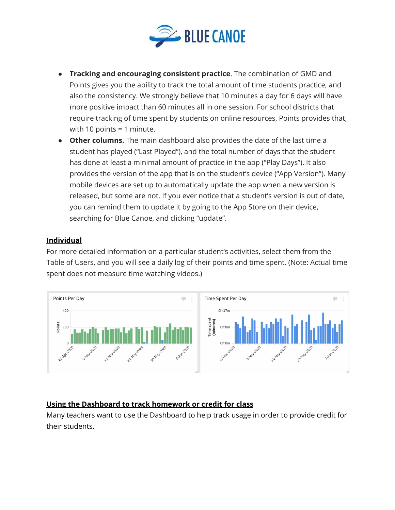

- **Tracking and encouraging consistent practice**. The combination of GMD and Points gives you the ability to track the total amount of time students practice, and also the consistency. We strongly believe that 10 minutes a day for 6 days will have more positive impact than 60 minutes all in one session. For school districts that require tracking of time spent by students on online resources, Points provides that, with 10 points = 1 minute.
- **Other columns.** The main dashboard also provides the date of the last time a student has played ("Last Played"), and the total number of days that the student has done at least a minimal amount of practice in the app ("Play Days"). It also provides the version of the app that is on the student's device ("App Version"). Many mobile devices are set up to automatically update the app when a new version is released, but some are not. If you ever notice that a student's version is out of date, you can remind them to update it by going to the App Store on their device, searching for Blue Canoe, and clicking "update".

## **Individual**

For more detailed information on a particular student's activities, select them from the Table of Users, and you will see a daily log of their points and time spent. (Note: Actual time spent does not measure time watching videos.)



## **Using the Dashboard to track homework or credit for class**

Many teachers want to use the Dashboard to help track usage in order to provide credit for their students.